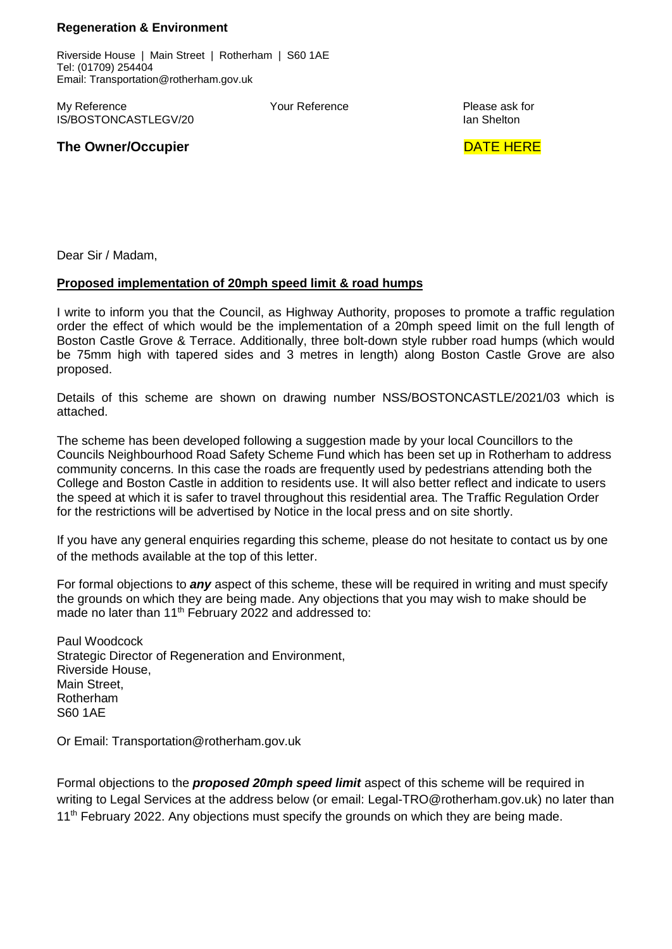## **Regeneration & Environment**

Riverside House | Main Street | Rotherham | S60 1AE Tel: (01709) 254404 Email: Transportation@rotherham.gov.uk

My Reference **Notain** Reference **Please ask for a set of the Vour Reference** Please ask for **Please ask for a symbol Please** ask for a symbol  $\overline{R}$ IS/BOSTONCASTLEGV/20

## **The Owner/Occupier and Service Services and Service Services and DATE HERE**

Dear Sir / Madam,

## **Proposed implementation of 20mph speed limit & road humps**

I write to inform you that the Council, as Highway Authority, proposes to promote a traffic regulation order the effect of which would be the implementation of a 20mph speed limit on the full length of Boston Castle Grove & Terrace. Additionally, three bolt-down style rubber road humps (which would be 75mm high with tapered sides and 3 metres in length) along Boston Castle Grove are also proposed.

Details of this scheme are shown on drawing number NSS/BOSTONCASTLE/2021/03 which is attached.

The scheme has been developed following a suggestion made by your local Councillors to the Councils Neighbourhood Road Safety Scheme Fund which has been set up in Rotherham to address community concerns. In this case the roads are frequently used by pedestrians attending both the College and Boston Castle in addition to residents use. It will also better reflect and indicate to users the speed at which it is safer to travel throughout this residential area. The Traffic Regulation Order for the restrictions will be advertised by Notice in the local press and on site shortly.

If you have any general enquiries regarding this scheme, please do not hesitate to contact us by one of the methods available at the top of this letter.

For formal objections to *any* aspect of this scheme, these will be required in writing and must specify the grounds on which they are being made. Any objections that you may wish to make should be made no later than 11<sup>th</sup> February 2022 and addressed to:

Paul Woodcock Strategic Director of Regeneration and Environment, Riverside House, Main Street, Rotherham S60 1AE

Or Email: [Transportation@rotherham.gov.uk](mailto:Transportation@rotherham.gov.uk)

Formal objections to the *proposed 20mph speed limit* aspect of this scheme will be required in writing to Legal Services at the address below (or email: Legal-TRO@rotherham.gov.uk) no later than 11<sup>th</sup> February 2022. Any objections must specify the grounds on which they are being made.